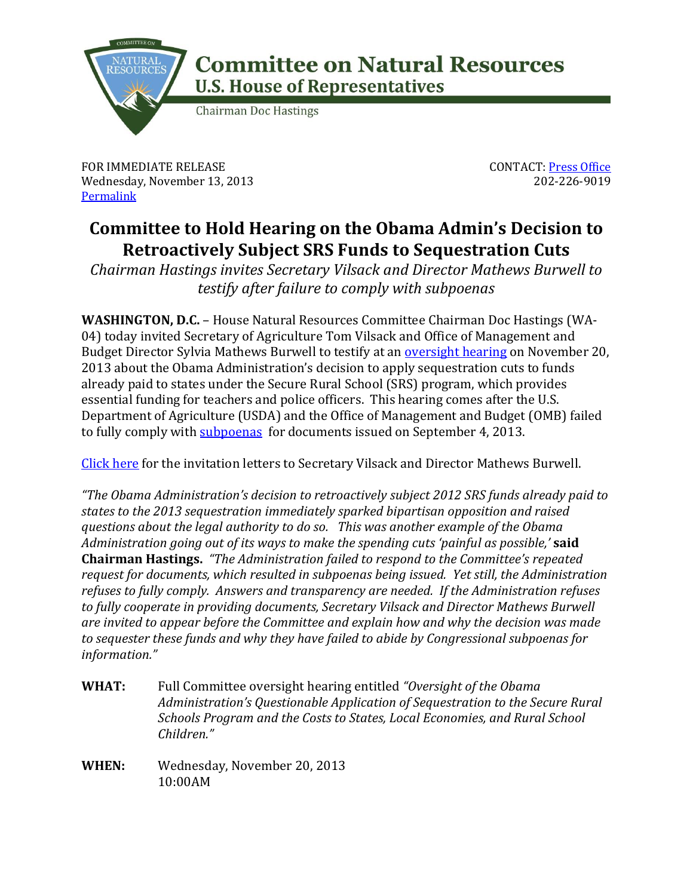

## **Committee on Natural Resources U.S. House of Representatives**

**Chairman Doc Hastings** 

FOR IMMEDIATE RELEASE Wednesday, November 13, 2013 **[Permalink](http://naturalresources.house.gov/news/documentsingle.aspx?DocumentID=361195)** 

CONTACT: [Press Office](http://naturalresources.house.gov/contact/media.htm) 202-226-9019

## **Committee to Hold Hearing on the Obama Admin's Decision to Retroactively Subject SRS Funds to Sequestration Cuts**

*Chairman Hastings invites Secretary Vilsack and Director Mathews Burwell to testify after failure to comply with subpoenas* 

**WASHINGTON, D.C.** – House Natural Resources Committee Chairman Doc Hastings (WA-04) today invited Secretary of Agriculture Tom Vilsack and Office of Management and Budget Director Sylvia Mathews Burwell to testify at an [oversight hearing](http://naturalresources.house.gov/calendar/eventsingle.aspx?EventID=361080) on November 20, 2013 about the Obama Administration's decision to apply sequestration cuts to funds already paid to states under the Secure Rural School (SRS) program, which provides essential funding for teachers and police officers. This hearing comes after the U.S. Department of Agriculture (USDA) and the Office of Management and Budget (OMB) failed to fully comply wit[h subpoenas](http://naturalresources.house.gov/news/documentsingle.aspx?DocumentID=347606) for documents issued on September 4, 2013.

[Click here](http://naturalresources.house.gov/UploadedFiles/11_13_13_Invitations.pdf) for the invitation letters to Secretary Vilsack and Director Mathews Burwell.

*"The Obama Administration's decision to retroactively subject 2012 SRS funds already paid to states to the 2013 sequestration immediately sparked bipartisan opposition and raised questions about the legal authority to do so. This was another example of the Obama Administration going out of its ways to make the spending cuts 'painful as possible,'* **said Chairman Hastings.** *"The Administration failed to respond to the Committee's repeated request for documents, which resulted in subpoenas being issued. Yet still, the Administration refuses to fully comply. Answers and transparency are needed. If the Administration refuses to fully cooperate in providing documents, Secretary Vilsack and Director Mathews Burwell are invited to appear before the Committee and explain how and why the decision was made to sequester these funds and why they have failed to abide by Congressional subpoenas for information."*

- **WHAT:** Full Committee oversight hearing entitled *"Oversight of the Obama Administration's Questionable Application of Sequestration to the Secure Rural Schools Program and the Costs to States, Local Economies, and Rural School Children."*
- **WHEN:** Wednesday, November 20, 2013 10:00AM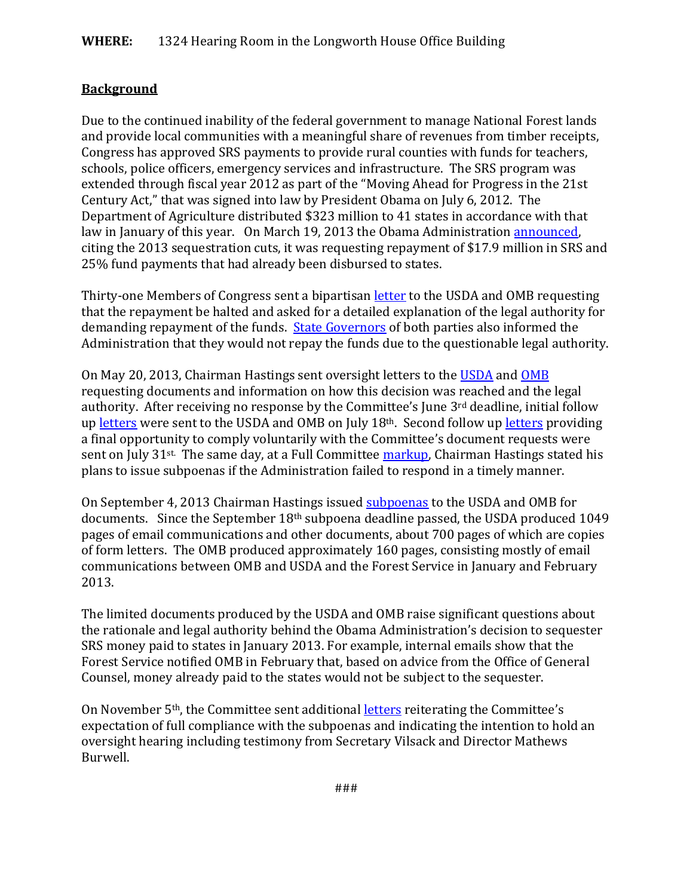## **Background**

Due to the continued inability of the federal government to manage National Forest lands and provide local communities with a meaningful share of revenues from timber receipts, Congress has approved SRS payments to provide rural counties with funds for teachers, schools, police officers, emergency services and infrastructure. The SRS program was extended through fiscal year 2012 as part of the "Moving Ahead for Progress in the 21st Century Act," that was signed into law by President Obama on July 6, 2012. The Department of Agriculture distributed \$323 million to 41 states in accordance with that law in January of this year. On March 19, 2013 the Obama Administration [announced,](http://naturalresources.house.gov/news/documentsingle.aspx?DocumentID=324873) citing the 2013 sequestration cuts, it was requesting repayment of \$17.9 million in SRS and 25% fund payments that had already been disbursed to states.

Thirty-one Members of Congress sent a bipartisa[n letter](http://naturalresources.house.gov/uploadedfiles/03-28-13lettertosecvilsack.pdf) to the USDA and OMB requesting that the repayment be halted and asked for a detailed explanation of the legal authority for demanding repayment of the funds. [State Governors](http://naturalresources.house.gov/UploadedFiles/11_4_13_Resourceful_Info_SRS_Letters_Gov.pdf) of both parties also informed the Administration that they would not repay the funds due to the questionable legal authority.

On May 20, 2013, Chairman Hastings sent oversight letters to the [USDA](http://naturalresources.house.gov/uploadedfiles/05.20.13_hastings_ltr_to_chief_tidwell.pdf) and [OMB](http://naturalresources.house.gov/uploadedfiles/05.20.13_hastings_ltr_to_dir_burwell.pdf) requesting documents and information on how this decision was reached and the legal authority. After receiving no response by the Committee's June 3rd deadline, initial follow up [letters](http://naturalresources.house.gov/uploadedfiles/hastingsletters07-18-13.pdf) were sent to the USDA and OMB on July 18<sup>th</sup>. Second follow u[p letters](http://naturalresources.house.gov/uploadedfiles/hastingsletters07-31-13.pdf) providing a final opportunity to comply voluntarily with the Committee's document requests were sent on July 31<sup>st.</sup> The same day, at a Full Committee [markup,](http://naturalresources.house.gov/calendar/eventsingle.aspx?EventID=344289) Chairman Hastings stated his plans to issue subpoenas if the Administration failed to respond in a timely manner.

On September 4, 2013 Chairman Hastings issued [subpoenas](http://naturalresources.house.gov/news/documentsingle.aspx?DocumentID=347606) to the USDA and OMB for documents. Since the September 18th subpoena deadline passed, the USDA produced 1049 pages of email communications and other documents, about 700 pages of which are copies of form letters. The OMB produced approximately 160 pages, consisting mostly of email communications between OMB and USDA and the Forest Service in January and February 2013.

The limited documents produced by the USDA and OMB raise significant questions about the rationale and legal authority behind the Obama Administration's decision to sequester SRS money paid to states in January 2013. For example, internal emails show that the Forest Service notified OMB in February that, based on advice from the Office of General Counsel, money already paid to the states would not be subject to the sequester.

On November 5th, the Committee sent additiona[l letters](http://naturalresources.house.gov/news/documentsingle.aspx?DocumentID=360388) reiterating the Committee's expectation of full compliance with the subpoenas and indicating the intention to hold an oversight hearing including testimony from Secretary Vilsack and Director Mathews Burwell.